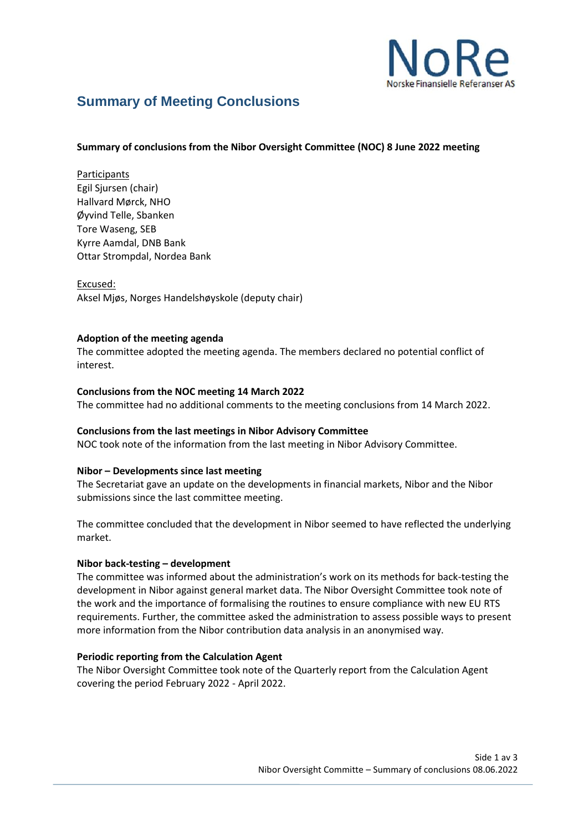

# **Summary of Meeting Conclusions**

## **Summary of conclusions from the Nibor Oversight Committee (NOC) 8 June 2022 meeting**

Participants Egil Sjursen (chair) Hallvard Mørck, NHO Øyvind Telle, Sbanken Tore Waseng, SEB Kyrre Aamdal, DNB Bank Ottar Strompdal, Nordea Bank

Excused: Aksel Mjøs, Norges Handelshøyskole (deputy chair)

## **Adoption of the meeting agenda**

The committee adopted the meeting agenda. The members declared no potential conflict of interest.

## **Conclusions from the NOC meeting 14 March 2022**

The committee had no additional comments to the meeting conclusions from 14 March 2022.

## **Conclusions from the last meetings in Nibor Advisory Committee**

NOC took note of the information from the last meeting in Nibor Advisory Committee.

#### **Nibor – Developments since last meeting**

The Secretariat gave an update on the developments in financial markets, Nibor and the Nibor submissions since the last committee meeting.

The committee concluded that the development in Nibor seemed to have reflected the underlying market.

#### **Nibor back-testing – development**

The committee was informed about the administration's work on its methods for back-testing the development in Nibor against general market data. The Nibor Oversight Committee took note of the work and the importance of formalising the routines to ensure compliance with new EU RTS requirements. Further, the committee asked the administration to assess possible ways to present more information from the Nibor contribution data analysis in an anonymised way.

#### **Periodic reporting from the Calculation Agent**

The Nibor Oversight Committee took note of the Quarterly report from the Calculation Agent covering the period February 2022 - April 2022.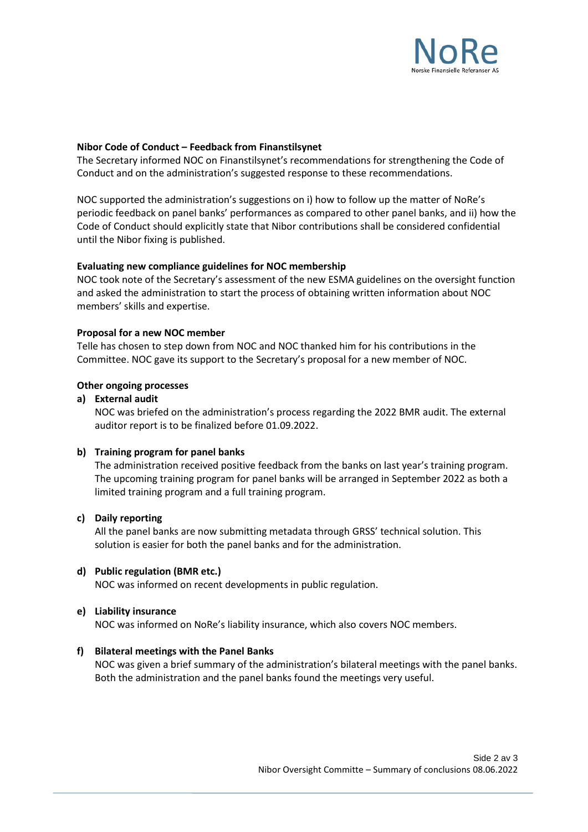

## **Nibor Code of Conduct – Feedback from Finanstilsynet**

The Secretary informed NOC on Finanstilsynet's recommendations for strengthening the Code of Conduct and on the administration's suggested response to these recommendations.

NOC supported the administration's suggestions on i) how to follow up the matter of NoRe's periodic feedback on panel banks' performances as compared to other panel banks, and ii) how the Code of Conduct should explicitly state that Nibor contributions shall be considered confidential until the Nibor fixing is published.

## **Evaluating new compliance guidelines for NOC membership**

NOC took note of the Secretary's assessment of the new ESMA guidelines on the oversight function and asked the administration to start the process of obtaining written information about NOC members' skills and expertise.

## **Proposal for a new NOC member**

Telle has chosen to step down from NOC and NOC thanked him for his contributions in the Committee. NOC gave its support to the Secretary's proposal for a new member of NOC.

## **Other ongoing processes**

## **a) External audit**

NOC was briefed on the administration's process regarding the 2022 BMR audit. The external auditor report is to be finalized before 01.09.2022.

#### **b) Training program for panel banks**

The administration received positive feedback from the banks on last year's training program. The upcoming training program for panel banks will be arranged in September 2022 as both a limited training program and a full training program.

#### **c) Daily reporting**

All the panel banks are now submitting metadata through GRSS' technical solution. This solution is easier for both the panel banks and for the administration.

#### **d) Public regulation (BMR etc.)**

NOC was informed on recent developments in public regulation.

#### **e) Liability insurance**

NOC was informed on NoRe's liability insurance, which also covers NOC members.

#### **f) Bilateral meetings with the Panel Banks**

NOC was given a brief summary of the administration's bilateral meetings with the panel banks. Both the administration and the panel banks found the meetings very useful.